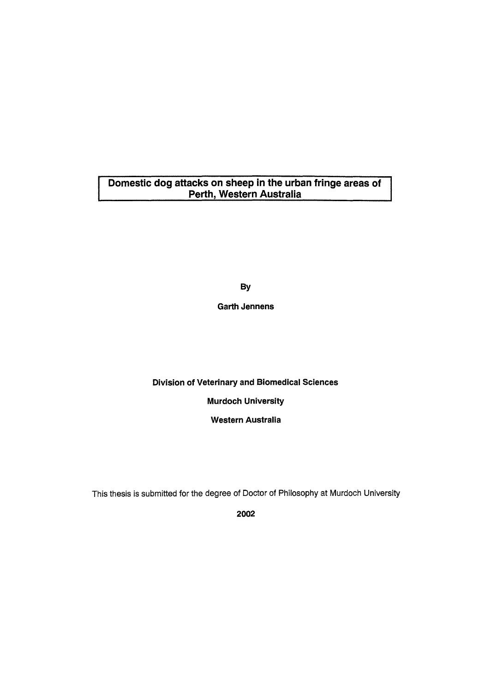### **Domestic dog attacks on sheep in the urban fringe areas of Perth, Western Australia**

**By** 

**Garth Jennens** 

**Division of Veterinary and Biomedical Sciences** 

**Murdoch University** 

**Western Australia** 

This thesis is submitted for the degree of Doctor of Philosophy at Murdoch University

**2002**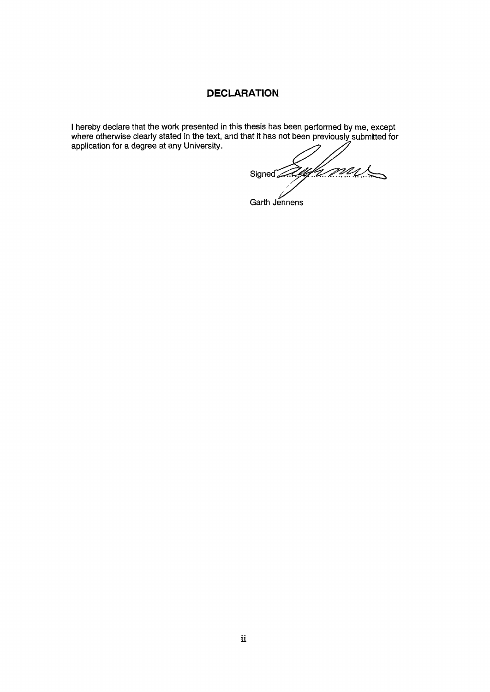## **DECLARATION**

**I hereby declare that the work presented in this thesis has been performed by** me, **except where otherwise clearly stated in the text, and that it has not been previously submtted for** 

applies the degree at any  $U\ll N$ <u>t M</u> Signed 2

**Garth Jennens**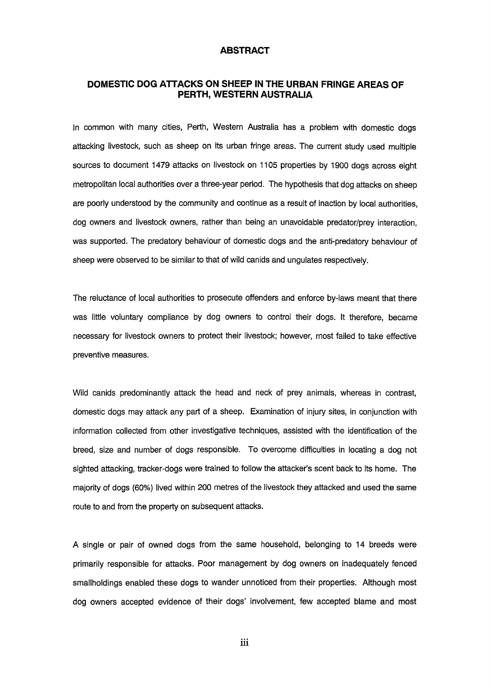#### **ABSTRACT**

#### **DOMESTIC DOG ATTACKS ON SHEEP IN THE URBAN FRINGE AREAS OF PERTH, WESTERN AUSTRALIA**

In common with many cities, Perth, Western Australia has a problem with domestic dogs attacking livestock, such as sheep on its urban fringe areas. The current study used multiple sources to document 1479 attacks on livestock on 1105 properties by 1900 dogs across eight metropolitan local authorities over a three-year period. The hypothesis that dog attacks on sheep are poorly understood by the community and continue as a result of inaction by local authorities, dog owners and livestock owners, rather than being an unavoidable predator/prey interaction, was supported. The predatory behaviour of domestic dogs and the anti-predatory behaviour of sheep were observed to be similar to that of wild canids and ungulates respectively.

The reluctance of local authorities to prosecute offenders and enforce by-laws meant that there was little voluntary compliance by dog owners to control their dogs. It therefore, became necessary for livestock owners to protect their livestock; however, most failed to take effective preventive measures.

Wild canids predominantly attack the head and neck of prey animals, whereas in contrast, domestic dogs may attack any part of a sheep. Examination of injury sites, in conjunction with information collected from other investigative techniques, assisted with the identification of the breed, size and number of dogs responsible. To overcome difficulties in locating a dog not Sighted attacking, tracker-dogs were trained to follow the attacker's scent back to its home. The majority of dogs (60%) lived within 200 metres of the livestock they attacked and used the same route to and from the property on subsequent attacks.

A single or pair of owned dogs from the same household, belonging to 14 breeds were primarily responsible for attacks. Poor management by dog owners on inadequately fenced smallholdings enabled these dogs to wander unnoticed from their properties. Although most dog owners accepted evidence of their dogs' involvement, few accepted blame and most

111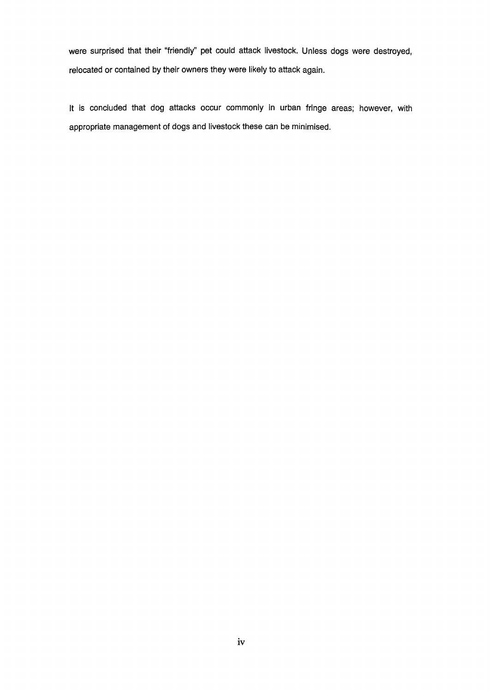were surprised that their "friendly" pet could attack livestock. Unless dogs were destroyed, relocated or contained by their owners they were likely to attack again.

It is concluded that dog attacks occur commonly in urban fringe areas; however, with appropriate management of dogs and livestock these can be minimised.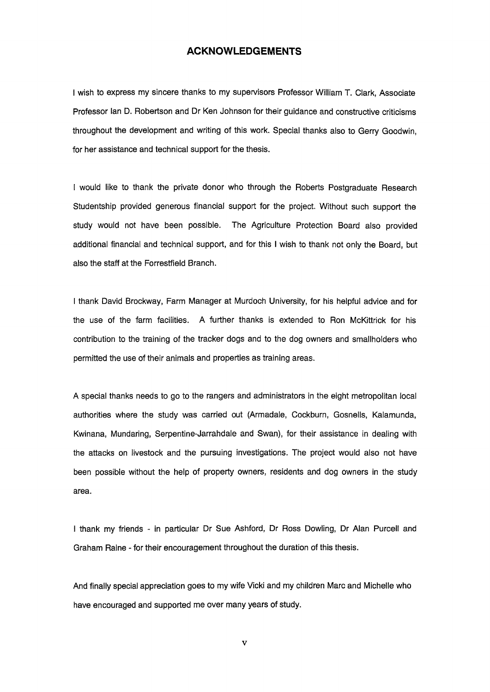#### **ACKNOWLEDGEMENTS**

I wish to express my sincere thanks to my supervisors Professor William T. Clark, Associate Professor Ian D. Robertson and Dr Ken Johnson for their guidance and constructive criticisms throughout the development and writing of this work. Special thanks also to Gerry Goodwin, for her assistance and technical support for the thesis.

I would like to thank the private donor who through the Roberts Postgraduate Research Studentship provided generous financial support for the project. Without such support the study would not have been possible. The Agriculture Protection Board also provided additional financial and technical support, and for this I wish to thank not only the Board, but also the staff at the Forrestfield Branch.

I thank David Brockway, Farm Manager at Murdoch University, for his helpful advice and for the use of the farm facilities. A further thanks is extended to Ron McKittrick for his contribution to the training of the tracker dogs and to the dog owners and smallholders who permitted the use of their animals and properties as training areas.

A special thanks needs to go to the rangers and administrators in the eight metropolitan local authorities where the study was carried out (Armadale, Cockburn, Gosnells, Kalamunda, Kwinana, Mundaring, Serpentine-Jarrahdale and Swan), for their assistance in dealing with the attacks on livestock and the pursuing investigations. The project would also not have been possible without the help of property owners, residents and dog owners in the study area.

I thank my friends - in particular Dr Sue Ashford, Dr Ross Dowling, Dr Alan Purcell and Graham Raine - for their encouragement throughout the duration of this thesis.

And finally special appreciation goes to my wife Vicki and my children Marc and Michelle who have encouraged and supported me over many years of study.

v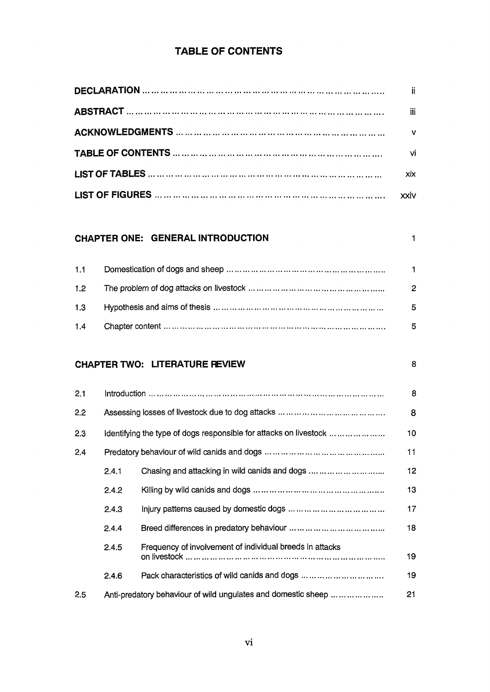# **TABLE OF CONTENTS**

| ji.          |
|--------------|
| iii          |
| $\mathbf{v}$ |
| vi           |
| xix          |
|              |

### **CHAPTER ONE: GENERAL INTRODUCTION 1 1**

|     | $\blacksquare$ |
|-----|----------------|
| 1.2 | $\overline{2}$ |
|     | -5.            |
| 1.4 | 5.             |

## **CHAPTER TWO: LITERATURE FEVIEW** 8

| 2.1 | <u> Introduction ………………………………………………………………………………………</u>        |                                                                   |    |  |  |
|-----|---------------------------------------------------------------|-------------------------------------------------------------------|----|--|--|
| 2.2 |                                                               |                                                                   | 8  |  |  |
| 2.3 |                                                               | Identifying the type of dogs responsible for attacks on livestock | 10 |  |  |
| 2.4 |                                                               |                                                                   | 11 |  |  |
|     | 2.4.1                                                         | Chasing and attacking in wild canids and dogs                     | 12 |  |  |
|     | 2.4.2                                                         |                                                                   | 13 |  |  |
|     | 2.4.3                                                         |                                                                   | 17 |  |  |
|     | 2.4.4                                                         |                                                                   |    |  |  |
|     | 2.4.5                                                         | Frequency of involvement of individual breeds in attacks          | 19 |  |  |
|     | 2.4.6                                                         |                                                                   | 19 |  |  |
| 2.5 | Anti-predatory behaviour of wild ungulates and domestic sheep |                                                                   |    |  |  |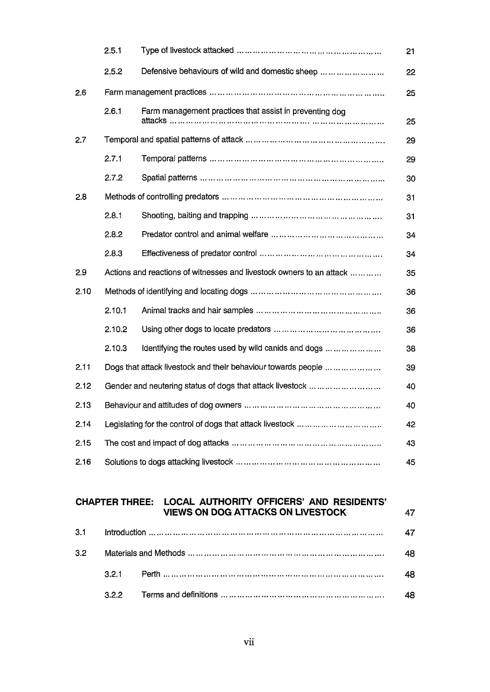|      | 2.5.1  |                                                                      | 21 |  |  |
|------|--------|----------------------------------------------------------------------|----|--|--|
|      | 2.5.2  | Defensive behaviours of wild and domestic sheep                      | 22 |  |  |
| 2.6  |        |                                                                      | 25 |  |  |
|      | 2.6.1  | Farm management practices that assist in preventing dog              | 25 |  |  |
| 2.7  |        |                                                                      | 29 |  |  |
|      | 2.7.1  |                                                                      | 29 |  |  |
|      | 2.7.2  |                                                                      | 30 |  |  |
| 2.8  |        |                                                                      | 31 |  |  |
|      | 2.8.1  |                                                                      | 31 |  |  |
|      | 2.8.2  |                                                                      | 34 |  |  |
|      | 2.8.3  |                                                                      | 34 |  |  |
| 2.9  |        | Actions and reactions of witnesses and livestock owners to an attack | 35 |  |  |
| 2.10 |        |                                                                      | 36 |  |  |
|      | 2.10.1 |                                                                      | 36 |  |  |
|      | 2.10.2 |                                                                      | 36 |  |  |
|      | 2.10.3 | Identifying the routes used by wild canids and dogs                  | 38 |  |  |
| 2.11 |        | Dogs that attack livestock and their behaviour towards people        | 39 |  |  |
| 2.12 |        | Gender and neutering status of dogs that attack livestock            | 40 |  |  |
| 2.13 |        |                                                                      | 40 |  |  |
| 2.14 |        |                                                                      | 42 |  |  |
| 2.15 |        |                                                                      | 43 |  |  |
| 2.16 |        |                                                                      |    |  |  |

### **CHAPTER THREE: LOCAL AUTHORITY OFFICERS' AND RESIDENTS' VIEWS ON DOG ATTACKS ON LIVESTOCK** 47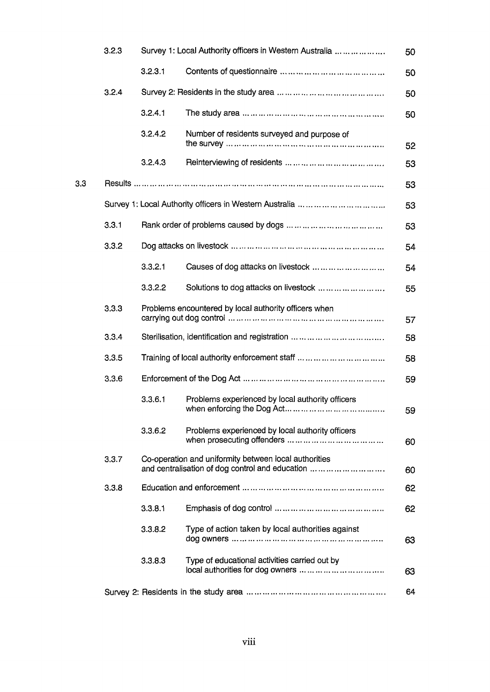|     | 3.2.3 | Survey 1: Local Authority officers in Western Australia |                                                                                                          |    |
|-----|-------|---------------------------------------------------------|----------------------------------------------------------------------------------------------------------|----|
|     |       | 3.2.3.1                                                 |                                                                                                          | 50 |
|     | 3.2.4 |                                                         |                                                                                                          | 50 |
|     |       | 3.2.4.1                                                 |                                                                                                          | 50 |
|     |       | 3.2.4.2                                                 | Number of residents surveyed and purpose of                                                              | 52 |
|     |       | 3.2.4.3                                                 |                                                                                                          | 53 |
| 3.3 |       |                                                         |                                                                                                          | 53 |
|     |       |                                                         |                                                                                                          | 53 |
|     | 3.3.1 |                                                         |                                                                                                          | 53 |
|     | 3.3.2 |                                                         |                                                                                                          | 54 |
|     |       | 3.3.2.1                                                 | Causes of dog attacks on livestock                                                                       | 54 |
|     |       | 3.3.2.2                                                 | Solutions to dog attacks on livestock                                                                    | 55 |
|     | 3.3.3 |                                                         | Problems encountered by local authority officers when                                                    | 57 |
|     | 3.3.4 |                                                         |                                                                                                          | 58 |
|     | 3.3.5 |                                                         |                                                                                                          | 58 |
|     | 3.3.6 |                                                         |                                                                                                          | 59 |
|     |       | 3.3.6.1                                                 | Problems experienced by local authority officers                                                         | 59 |
|     |       | 3.3.6.2                                                 | Problems experienced by local authority officers                                                         | 60 |
|     | 3.3.7 |                                                         | Co-operation and uniformity between local authorities<br>and centralisation of dog control and education | 60 |
|     | 3.3.8 |                                                         |                                                                                                          | 62 |
|     |       | 3.3.8.1                                                 |                                                                                                          | 62 |
|     |       | 3.3.8.2                                                 | Type of action taken by local authorities against                                                        | 63 |
|     |       | 3.3.8.3                                                 | Type of educational activities carried out by                                                            | 63 |
|     |       |                                                         |                                                                                                          | 64 |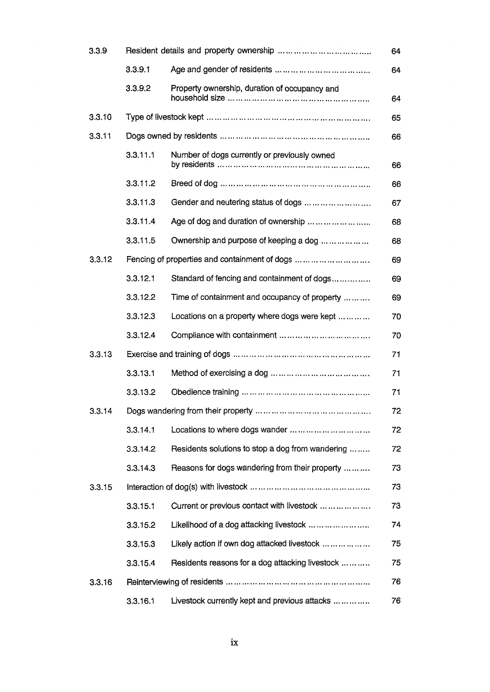| 3.3.9  |          |                                                  |    |
|--------|----------|--------------------------------------------------|----|
|        | 3.3.9.1  |                                                  | 64 |
|        | 3.3.9.2  | Property ownership, duration of occupancy and    | 64 |
| 3.3.10 |          |                                                  | 65 |
| 3.3.11 |          |                                                  | 66 |
|        | 3.3.11.1 | Number of dogs currently or previously owned     | 66 |
|        | 3.3.11.2 |                                                  | 66 |
|        | 3.3.11.3 | Gender and neutering status of dogs              | 67 |
|        | 3.3.11.4 | Age of dog and duration of ownership             | 68 |
|        | 3.3.11.5 | Ownership and purpose of keeping a dog           | 68 |
| 3.3.12 |          | Fencing of properties and containment of dogs    | 69 |
|        | 3.3.12.1 | Standard of fencing and containment of dogs      | 69 |
|        | 3.3.12.2 | Time of containment and occupancy of property    | 69 |
|        | 3.3.12.3 | Locations on a property where dogs were kept     | 70 |
|        | 3.3.12.4 |                                                  | 70 |
| 3.3.13 |          |                                                  | 71 |
|        | 3.3.13.1 |                                                  | 71 |
|        | 3.3.13.2 |                                                  | 71 |
| 3.3.14 |          |                                                  | 72 |
|        | 3.3.14.1 | Locations to where dogs wander                   | 72 |
|        | 3.3.14.2 | Residents solutions to stop a dog from wandering | 72 |
|        | 3.3.14.3 | Reasons for dogs wandering from their property   | 73 |
| 3.3.15 |          |                                                  | 73 |
|        | 3.3.15.1 | Current or previous contact with livestock       | 73 |
|        | 3.3.15.2 | Likelihood of a dog attacking livestock          | 74 |
|        | 3.3.15.3 | Likely action if own dog attacked livestock      | 75 |
|        | 3.3.15.4 | Residents reasons for a dog attacking livestock  | 75 |
| 3.3.16 |          |                                                  | 76 |
|        | 3.3.16.1 | Livestock currently kept and previous attacks    | 76 |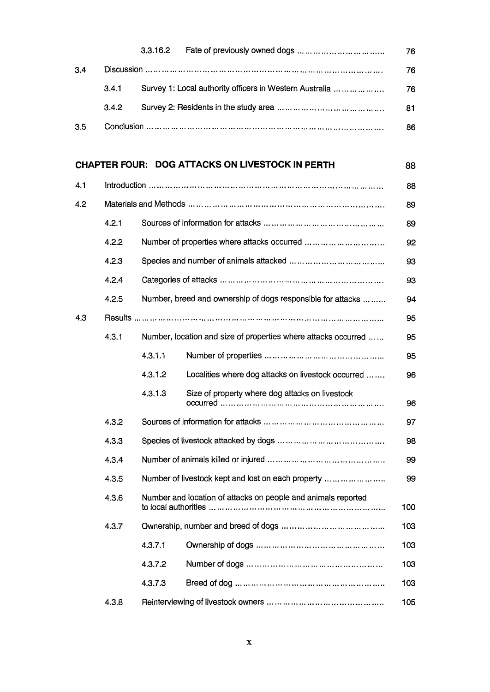|     |       |                                                         | 76  |
|-----|-------|---------------------------------------------------------|-----|
| 3.4 |       |                                                         | 76  |
|     | 3.4.1 | Survey 1: Local authority officers in Western Australia | 76  |
|     | 3.4.2 |                                                         | 81  |
| 3.5 |       |                                                         | 86. |

## **CHAPTER FOUR: DOG ATTACKS ON LIVESTOCK IN PERTH** 88

| 4.1 |       | <u> Introduction ………………………………………………………………………………</u>           |                                                                |     |  |  |
|-----|-------|---------------------------------------------------------------|----------------------------------------------------------------|-----|--|--|
| 4.2 |       |                                                               |                                                                |     |  |  |
|     | 4.2.1 |                                                               |                                                                | 89  |  |  |
|     | 4.2.2 | Number of properties where attacks occurred                   |                                                                |     |  |  |
|     | 4.2.3 |                                                               |                                                                |     |  |  |
|     | 4.2.4 |                                                               |                                                                |     |  |  |
|     | 4.2.5 |                                                               | Number, breed and ownership of dogs responsible for attacks    | 94  |  |  |
| 4.3 |       |                                                               | Results ……………………………………………………………………………                          | 95  |  |  |
|     | 4.3.1 |                                                               | Number, location and size of properties where attacks occurred | 95  |  |  |
|     |       | 4.3.1.1                                                       |                                                                | 95  |  |  |
|     |       | 4.3.1.2                                                       | Localities where dog attacks on livestock occurred             | 96  |  |  |
|     |       | 4.3.1.3                                                       | Size of property where dog attacks on livestock                | 96  |  |  |
|     | 4.3.2 |                                                               |                                                                | 97  |  |  |
|     | 4.3.3 |                                                               |                                                                | 98  |  |  |
|     | 4.3.4 |                                                               |                                                                |     |  |  |
|     | 4.3.5 | Number of livestock kept and lost on each property            |                                                                |     |  |  |
|     | 4.3.6 | Number and location of attacks on people and animals reported |                                                                |     |  |  |
|     | 4.3.7 |                                                               |                                                                | 103 |  |  |
|     |       | 4.3.7.1                                                       |                                                                | 103 |  |  |
|     |       | 4.3.7.2                                                       |                                                                | 103 |  |  |
|     |       | 4.3.7.3                                                       |                                                                | 103 |  |  |
|     | 4.3.8 |                                                               |                                                                | 105 |  |  |
|     |       |                                                               |                                                                |     |  |  |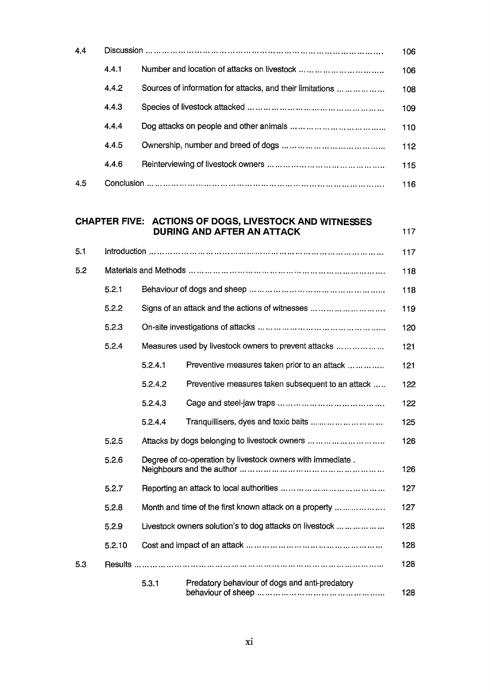| 4.4 |        |         |                                                                                             | 106 |
|-----|--------|---------|---------------------------------------------------------------------------------------------|-----|
|     | 4.4.1  |         |                                                                                             | 106 |
|     | 4.4.2  |         | Sources of information for attacks, and their limitations                                   | 108 |
|     | 4.4.3  |         |                                                                                             | 109 |
|     | 4.4.4  |         |                                                                                             | 110 |
|     | 4.4.5  |         |                                                                                             | 112 |
|     | 4.4.6  |         |                                                                                             | 115 |
| 4.5 |        |         |                                                                                             | 116 |
|     |        |         | CHAPTER FIVE: ACTIONS OF DOGS, LIVESTOCK AND WITNESSES<br><b>DURING AND AFTER AN ATTACK</b> | 117 |
| 5.1 |        |         |                                                                                             | 117 |
| 5.2 |        |         |                                                                                             | 118 |
|     | 5.2.1  |         |                                                                                             | 118 |
|     | 5.2.2  |         |                                                                                             | 119 |
|     | 5.2.3  |         |                                                                                             | 120 |
|     | 5.2.4  |         | Measures used by livestock owners to prevent attacks                                        | 121 |
|     |        | 5.2.4.1 | Preventive measures taken prior to an attack                                                | 121 |
|     |        | 5.2.4.2 | Preventive measures taken subsequent to an attack                                           | 122 |
|     |        | 5.2.4.3 |                                                                                             | 122 |
|     |        | 5.2.4.4 | Tranquillisers, dyes and toxic baits                                                        | 125 |
|     | 5.2.5  |         | Attacks by dogs belonging to livestock owners                                               | 126 |
|     | 5.2.6  |         | Degree of co-operation by livestock owners with immediate.                                  | 126 |
|     | 5.2.7  |         |                                                                                             | 127 |
|     | 5.2.8  |         | Month and time of the first known attack on a property                                      | 127 |
|     | 5.2.9  |         | Livestock owners solution's to dog attacks on livestock                                     | 128 |
|     | 5.2.10 |         |                                                                                             | 128 |
| 5.3 |        |         |                                                                                             | 128 |
|     |        | 5.3.1   | Predatory behaviour of dogs and anti-predatory                                              | 128 |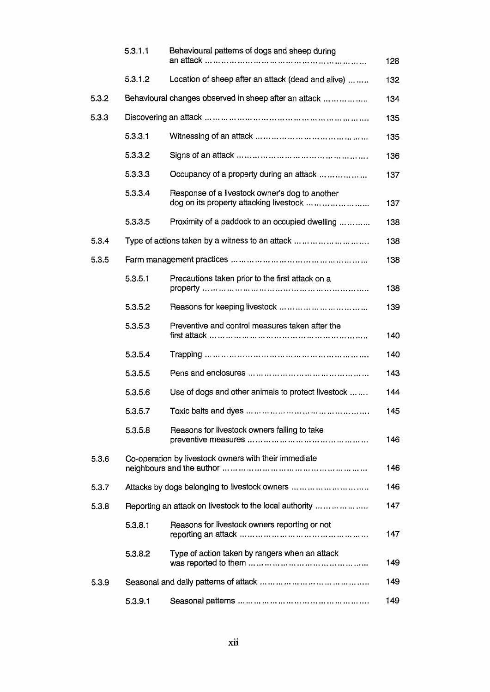|       | 5.3.1.1 | Behavioural patterns of dogs and sheep during                                             | 128 |
|-------|---------|-------------------------------------------------------------------------------------------|-----|
|       | 5.3.1.2 | Location of sheep after an attack (dead and alive)                                        | 132 |
| 5.3.2 |         | Behavioural changes observed in sheep after an attack                                     | 134 |
| 5.3.3 |         |                                                                                           | 135 |
|       | 5.3.3.1 |                                                                                           | 135 |
|       | 5.3.3.2 |                                                                                           | 136 |
|       | 5.3.3.3 | Occupancy of a property during an attack                                                  | 137 |
|       | 5.3.3.4 | Response of a livestock owner's dog to another<br>dog on its property attacking livestock | 137 |
|       | 5.3.3.5 | Proximity of a paddock to an occupied dwelling                                            | 138 |
| 5.3.4 |         | Type of actions taken by a witness to an attack                                           | 138 |
| 5.3.5 |         |                                                                                           | 138 |
|       | 5.3.5.1 | Precautions taken prior to the first attack on a                                          | 138 |
|       | 5.3.5.2 |                                                                                           | 139 |
|       | 5.3.5.3 | Preventive and control measures taken after the                                           | 140 |
|       | 5.3.5.4 |                                                                                           | 140 |
|       | 5.3.5.5 |                                                                                           | 143 |
|       | 5.3.5.6 | Use of dogs and other animals to protect livestock                                        | 144 |
|       | 5.3.5.7 |                                                                                           | 145 |
|       | 5.3.5.8 | Reasons for livestock owners failing to take                                              | 146 |
| 5.3.6 |         | Co-operation by livestock owners with their immediate                                     | 146 |
| 5.3.7 |         | Attacks by dogs belonging to livestock owners                                             | 146 |
| 5.3.8 |         | Reporting an attack on livestock to the local authority                                   | 147 |
|       | 5.3.8.1 | Reasons for livestock owners reporting or not                                             | 147 |
|       | 5.3.8.2 | Type of action taken by rangers when an attack                                            | 149 |
| 5.3.9 |         |                                                                                           | 149 |
|       | 5.3.9.1 |                                                                                           | 149 |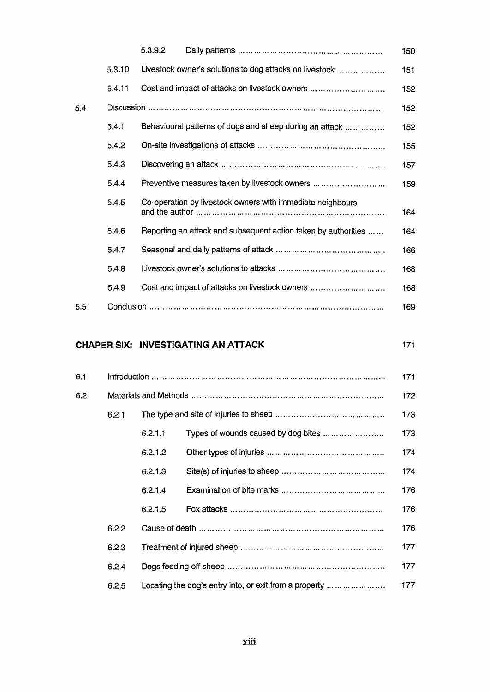|     |        | 5.3.9.2                                                        | 150 |
|-----|--------|----------------------------------------------------------------|-----|
|     | 5.3.10 | Livestock owner's solutions to dog attacks on livestock        | 151 |
|     | 5.4.11 | Cost and impact of attacks on livestock owners                 | 152 |
| 5.4 |        |                                                                | 152 |
|     | 5.4.1  | Behavioural patterns of dogs and sheep during an attack        | 152 |
|     | 5.4.2  |                                                                | 155 |
|     | 5.4.3  |                                                                | 157 |
|     | 5.4.4  | Preventive measures taken by livestock owners                  | 159 |
|     | 5.4.5  | Co-operation by livestock owners with immediate neighbours     | 164 |
|     | 5.4.6  | Reporting an attack and subsequent action taken by authorities | 164 |
|     | 5.4.7  |                                                                | 166 |
|     | 5.4.8  |                                                                | 168 |
|     | 5.4.9  | Cost and impact of attacks on livestock owners                 | 168 |
| 5.5 |        |                                                                | 169 |

### **CHAPER SIX: INVESTIGATING AN ATTACK** 171

| 6.1 |       |         |                                                        | 171 |
|-----|-------|---------|--------------------------------------------------------|-----|
| 6.2 |       |         |                                                        | 172 |
|     | 6.2.1 |         |                                                        | 173 |
|     |       | 6.2.1.1 | Types of wounds caused by dog bites                    | 173 |
|     |       | 6.2.1.2 |                                                        | 174 |
|     |       | 6.2.1.3 |                                                        | 174 |
|     |       | 6.2.1.4 |                                                        | 176 |
|     |       | 6.2.1.5 |                                                        | 176 |
|     | 6.2.2 |         |                                                        | 176 |
|     | 6.2.3 |         |                                                        | 177 |
|     | 6.2.4 |         |                                                        | 177 |
|     | 6.2.5 |         | Locating the dog's entry into, or exit from a property | 177 |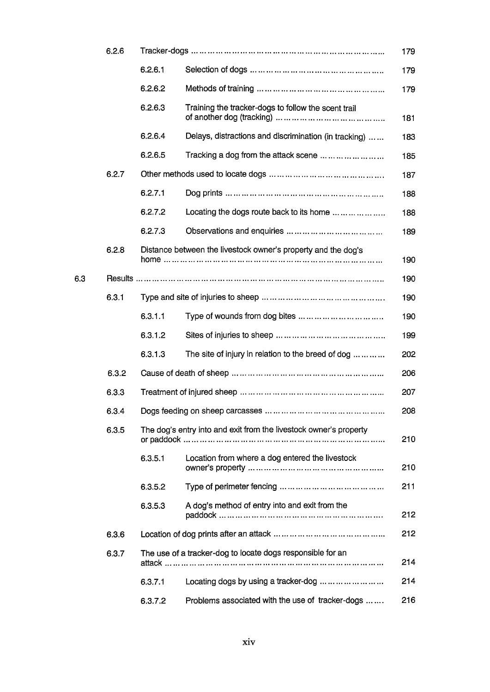|     | 6.2.6 |         |                                                                                                  | 179 |
|-----|-------|---------|--------------------------------------------------------------------------------------------------|-----|
|     |       | 6.2.6.1 |                                                                                                  | 179 |
|     |       | 6.2.6.2 |                                                                                                  | 179 |
|     |       | 6.2.6.3 | Training the tracker-dogs to follow the scent trail                                              | 181 |
|     |       | 6.2.6.4 | Delays, distractions and discrimination (in tracking)                                            | 183 |
|     |       | 6.2.6.5 | Tracking a dog from the attack scene                                                             | 185 |
|     | 6.2.7 |         |                                                                                                  | 187 |
|     |       | 6.2.7.1 |                                                                                                  | 188 |
|     |       | 6.2.7.2 | Locating the dogs route back to its home                                                         | 188 |
|     |       | 6.2.7.3 |                                                                                                  | 189 |
|     | 6.2.8 |         | Distance between the livestock owner's property and the dog's                                    | 190 |
| 6.3 |       |         | <u>Results …………………………………………………………………………………</u>                                                   | 190 |
|     | 6.3.1 |         |                                                                                                  | 190 |
|     |       | 6.3.1.1 |                                                                                                  | 190 |
|     |       | 6.3.1.2 |                                                                                                  | 199 |
|     |       | 6.3.1.3 | The site of injury in relation to the breed of dog                                               | 202 |
|     | 6.3.2 |         |                                                                                                  | 206 |
|     | 6.3.3 |         |                                                                                                  | 207 |
|     | 6.3.4 |         |                                                                                                  | 208 |
|     | 6.3.5 |         | The dog's entry into and exit from the livestock owner's property                                | 210 |
|     |       | 6.3.5.1 | Location from where a dog entered the livestock                                                  | 210 |
|     |       | 6.3.5.2 |                                                                                                  | 211 |
|     |       | 6.3.5.3 | A dog's method of entry into and exit from the                                                   | 212 |
|     | 6.3.6 |         |                                                                                                  | 212 |
|     | 6.3.7 |         | The use of a tracker-dog to locate dogs responsible for an<br>attack ……………………………………………………………………… | 214 |
|     |       | 6.3.7.1 | Locating dogs by using a tracker-dog                                                             | 214 |
|     |       | 6.3.7.2 | Problems associated with the use of tracker-dogs                                                 | 216 |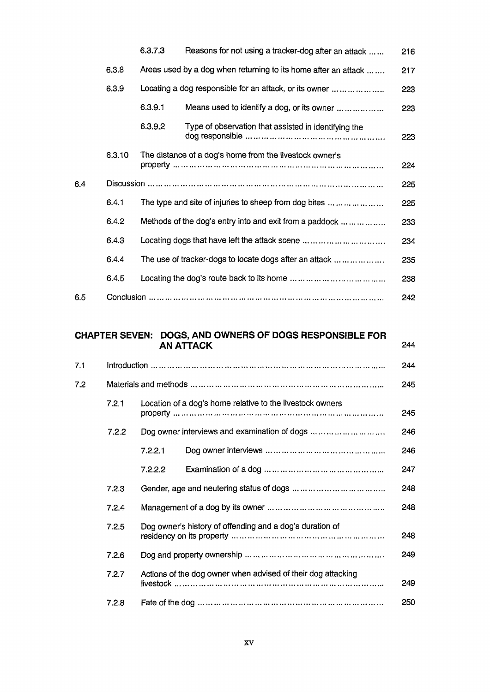|     |        | 6.3.7.3 | Reasons for not using a tracker-dog after an attack            | 216 |
|-----|--------|---------|----------------------------------------------------------------|-----|
|     | 6.3.8  |         | Areas used by a dog when returning to its home after an attack | 217 |
|     | 6.3.9  |         | Locating a dog responsible for an attack, or its owner         | 223 |
|     |        | 6.3.9.1 | Means used to identify a dog, or its owner                     | 223 |
|     |        | 6.3.9.2 | Type of observation that assisted in identifying the           | 223 |
|     | 6.3.10 |         | The distance of a dog's home from the livestock owner's        | 224 |
| 6.4 |        |         |                                                                | 225 |
|     | 6.4.1  |         | The type and site of injuries to sheep from dog bites          | 225 |
|     | 6.4.2  |         | Methods of the dog's entry into and exit from a paddock        | 233 |
|     | 6.4.3  |         | Locating dogs that have left the attack scene                  | 234 |
|     | 6.4.4  |         | The use of tracker-dogs to locate dogs after an attack         | 235 |
|     | 6.4.5  |         |                                                                | 238 |
| 6.5 |        |         |                                                                | 242 |

### **CHAPTER SEVEN: DOGS, AND OWNERS OF DOGS RESPONSIBLE FOR AN ATTACK** 244

| 7.1 |       |                                                                                                           | 244 |
|-----|-------|-----------------------------------------------------------------------------------------------------------|-----|
| 7.2 |       |                                                                                                           | 245 |
|     | 7.2.1 | Location of a dog's home relative to the livestock owners                                                 | 245 |
|     | 7.2.2 | Dog owner interviews and examination of dogs                                                              | 246 |
|     |       | 7.2.2.1                                                                                                   | 246 |
|     |       | 7.2.2.2<br>Examination of a dog $\dots \dots \dots \dots \dots \dots \dots \dots \dots \dots \dots \dots$ | 247 |
|     | 7.2.3 |                                                                                                           | 248 |
|     | 7.2.4 |                                                                                                           | 248 |
|     | 7.2.5 | Dog owner's history of offending and a dog's duration of                                                  | 248 |
|     | 7.2.6 |                                                                                                           | 249 |
|     | 7.2.7 | Actions of the dog owner when advised of their dog attacking                                              | 249 |
|     | 7.2.8 |                                                                                                           | 250 |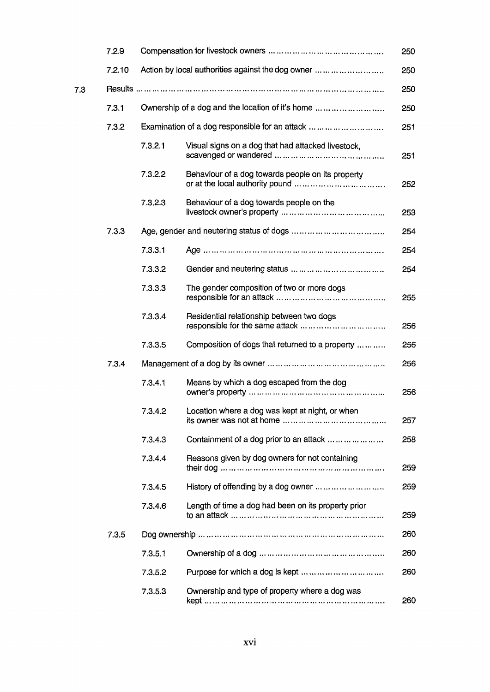|     | 7.2.9  |         |                                                     | 250 |
|-----|--------|---------|-----------------------------------------------------|-----|
|     | 7.2.10 |         | Action by local authorities against the dog owner   | 250 |
| 7.3 |        |         | Results ………………………………………………………………………………………           | 250 |
|     | 7.3.1  |         | Ownership of a dog and the location of it's home    | 250 |
|     | 7.3.2  |         | Examination of a dog responsible for an attack      | 251 |
|     |        | 7.3.2.1 | Visual signs on a dog that had attacked livestock,  | 251 |
|     |        | 7.3.2.2 | Behaviour of a dog towards people on its property   | 252 |
|     |        | 7.3.2.3 | Behaviour of a dog towards people on the            | 253 |
|     | 7.3.3  |         |                                                     | 254 |
|     |        | 7.3.3.1 |                                                     | 254 |
|     |        | 7.3.3.2 |                                                     | 254 |
|     |        | 7.3.3.3 | The gender composition of two or more dogs          | 255 |
|     |        | 7.3.3.4 | Residential relationship between two dogs           | 256 |
|     |        | 7.3.3.5 | Composition of dogs that returned to a property     | 256 |
|     | 7.3.4  |         |                                                     | 256 |
|     |        | 7.3.4.1 | Means by which a dog escaped from the dog           | 256 |
|     |        | 7.3.4.2 | Location where a dog was kept at night, or when     | 257 |
|     |        | 7.3.4.3 | Containment of a dog prior to an attack             | 258 |
|     |        | 7.3.4.4 | Reasons given by dog owners for not containing      | 259 |
|     |        | 7.3.4.5 | History of offending by a dog owner                 | 259 |
|     |        | 7.3.4.6 | Length of time a dog had been on its property prior | 259 |
|     | 7.3.5  |         |                                                     | 260 |
|     |        | 7.3.5.1 |                                                     | 260 |
|     |        | 7.3.5.2 | Purpose for which a dog is kept                     | 260 |
|     |        | 7.3.5.3 | Ownership and type of property where a dog was      | 260 |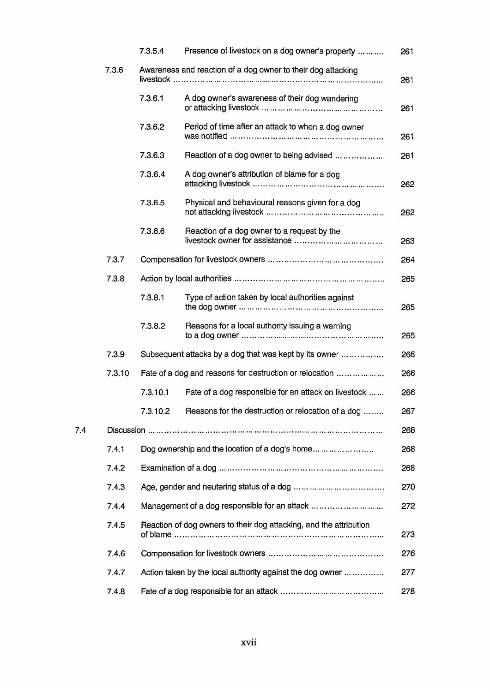|     |        | 7.3.5.4  | Presence of livestock on a dog owner's property                                                                              | 261 |
|-----|--------|----------|------------------------------------------------------------------------------------------------------------------------------|-----|
|     | 7.3.6  |          | Awareness and reaction of a dog owner to their dog attacking                                                                 | 261 |
|     |        | 7.3.6.1  | A dog owner's awareness of their dog wandering                                                                               | 261 |
|     |        | 7.3.6.2  | Period of time after an attack to when a dog owner                                                                           | 261 |
|     |        | 7.3.6.3  | Reaction of a dog owner to being advised                                                                                     | 261 |
|     |        | 7.3.6.4  | A dog owner's attribution of blame for a dog                                                                                 | 262 |
|     |        | 7.3.6.5  | Physical and behavioural reasons given for a dog                                                                             | 262 |
|     |        | 7.3.6.6  | Reaction of a dog owner to a request by the                                                                                  | 263 |
|     | 7.3.7  |          |                                                                                                                              | 264 |
|     | 7.3.8  |          |                                                                                                                              | 265 |
|     |        | 7.3.8.1  | Type of action taken by local authorities against                                                                            | 265 |
|     |        | 7.3.8.2  | Reasons for a local authority issuing a warning                                                                              | 265 |
|     | 7.3.9  |          | Subsequent attacks by a dog that was kept by its owner                                                                       | 266 |
|     | 7.3.10 |          | Fate of a dog and reasons for destruction or relocation                                                                      | 266 |
|     |        | 7.3.10.1 | Fate of a dog responsible for an attack on livestock                                                                         | 266 |
|     |        | 7.3.10.2 | Reasons for the destruction or relocation of a dog                                                                           | 267 |
| 7.4 |        |          |                                                                                                                              | 268 |
|     | 7.4.1  |          | Dog ownership and the location of a dog's home                                                                               | 268 |
|     | 7.4.2  |          | Examination of a dog $\dots \dots \dots \dots \dots \dots \dots \dots \dots \dots \dots \dots \dots \dots \dots \dots \dots$ | 268 |
|     | 7.4.3  |          |                                                                                                                              | 270 |
|     | 7.4.4  |          | Management of a dog responsible for an attack                                                                                | 272 |
|     | 7.4.5  |          | Reaction of dog owners to their dog attacking, and the attribution                                                           | 273 |
|     | 7.4.6  |          |                                                                                                                              | 276 |
|     | 7.4.7  |          | Action taken by the local authority against the dog owner                                                                    | 277 |
|     | 7.4.8  |          |                                                                                                                              | 278 |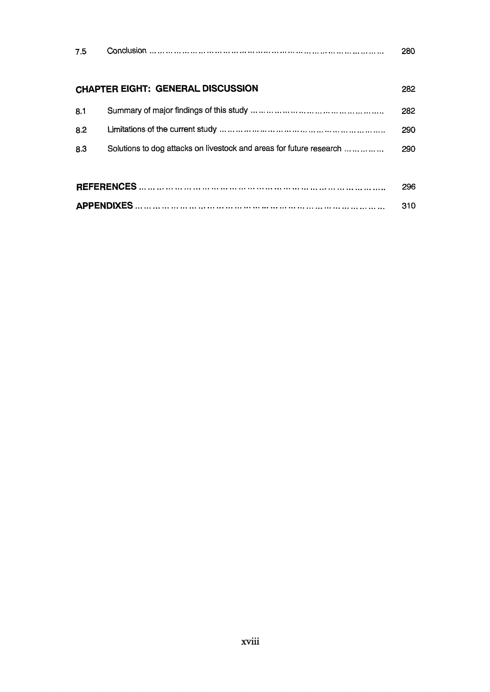| 7.5 |                                                                     | 280 |  |
|-----|---------------------------------------------------------------------|-----|--|
|     | <b>CHAPTER EIGHT: GENERAL DISCUSSION</b>                            | 282 |  |
| 8.1 |                                                                     | 282 |  |
| 8.2 |                                                                     | 290 |  |
| 8.3 | Solutions to dog attacks on livestock and areas for future research | 290 |  |
|     |                                                                     |     |  |
|     |                                                                     |     |  |
|     |                                                                     |     |  |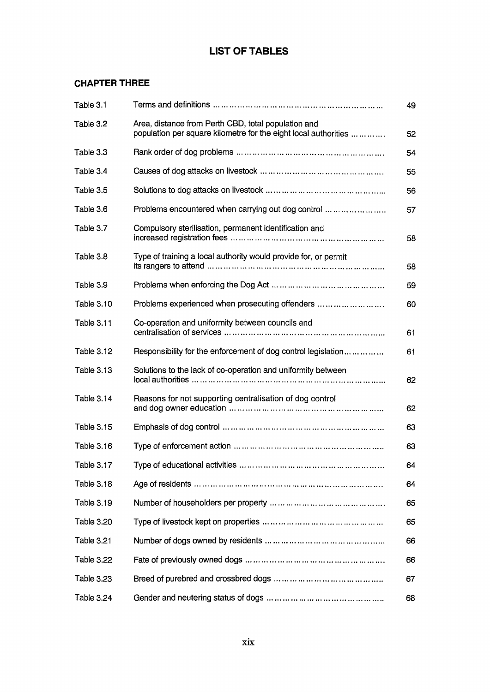## **LIST OF TABLES**

### **CHAPTER THREE**

| Table 3.1         |                                                                                                                        | 49 |
|-------------------|------------------------------------------------------------------------------------------------------------------------|----|
| Table 3.2         | Area, distance from Perth CBD, total population and<br>population per square kilometre for the eight local authorities | 52 |
| Table 3.3         |                                                                                                                        | 54 |
| Table 3.4         |                                                                                                                        | 55 |
| Table 3.5         |                                                                                                                        | 56 |
| Table 3.6         | Problems encountered when carrying out dog control                                                                     | 57 |
| Table 3.7         | Compulsory sterilisation, permanent identification and                                                                 | 58 |
| Table 3.8         | Type of training a local authority would provide for, or permit                                                        | 58 |
| Table 3.9         |                                                                                                                        | 59 |
| Table 3.10        | Problems experienced when prosecuting offenders                                                                        | 60 |
| <b>Table 3.11</b> | Co-operation and uniformity between councils and                                                                       | 61 |
| Table 3.12        | Responsibility for the enforcement of dog control legislation                                                          | 61 |
| <b>Table 3.13</b> | Solutions to the lack of co-operation and uniformity between                                                           | 62 |
| <b>Table 3.14</b> | Reasons for not supporting centralisation of dog control                                                               | 62 |
| Table 3.15        |                                                                                                                        | 63 |
| <b>Table 3.16</b> |                                                                                                                        | 63 |
| Table 3.17        | Type of educational activities                                                                                         | 64 |
| <b>Table 3.18</b> |                                                                                                                        | 64 |
| <b>Table 3.19</b> |                                                                                                                        | 65 |
| <b>Table 3.20</b> |                                                                                                                        | 65 |
| <b>Table 3.21</b> |                                                                                                                        | 66 |
| <b>Table 3.22</b> |                                                                                                                        | 66 |
| <b>Table 3.23</b> |                                                                                                                        | 67 |
| Table 3.24        |                                                                                                                        | 68 |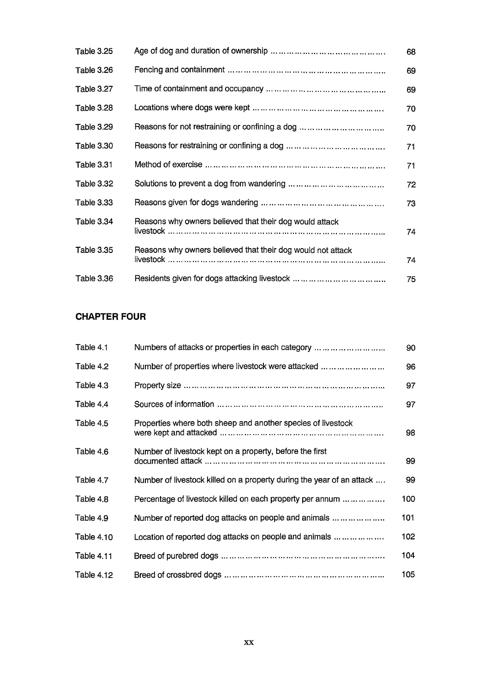| <b>Table 3.25</b> |                                                             | 68 |
|-------------------|-------------------------------------------------------------|----|
| Table 3.26        |                                                             | 69 |
| Table 3.27        |                                                             | 69 |
| Table 3.28        |                                                             | 70 |
| <b>Table 3.29</b> |                                                             | 70 |
| Table 3.30        |                                                             | 71 |
| Table 3.31        |                                                             | 71 |
| Table 3.32        |                                                             | 72 |
| <b>Table 3.33</b> |                                                             | 73 |
| Table 3.34        | Reasons why owners believed that their dog would attack     | 74 |
| <b>Table 3.35</b> | Reasons why owners believed that their dog would not attack | 74 |
| Table 3.36        |                                                             | 75 |

## **CHAPTER FOUR**

| Table 4.1         | Numbers of attacks or properties in each category                     | 90  |
|-------------------|-----------------------------------------------------------------------|-----|
| Table 4.2         | Number of properties where livestock were attacked                    | 96  |
| Table 4.3         |                                                                       | 97  |
| Table 4.4         |                                                                       | 97  |
| Table 4.5         | Properties where both sheep and another species of livestock          | 98  |
| Table 4.6         | Number of livestock kept on a property, before the first              | 99  |
| Table 4.7         | Number of livestock killed on a property during the year of an attack | 99  |
| Table 4.8         | Percentage of livestock killed on each property per annum             | 100 |
| Table 4.9         | Number of reported dog attacks on people and animals                  | 101 |
| <b>Table 4.10</b> | Location of reported dog attacks on people and animals                | 102 |
| <b>Table 4.11</b> |                                                                       | 104 |
| <b>Table 4.12</b> |                                                                       | 105 |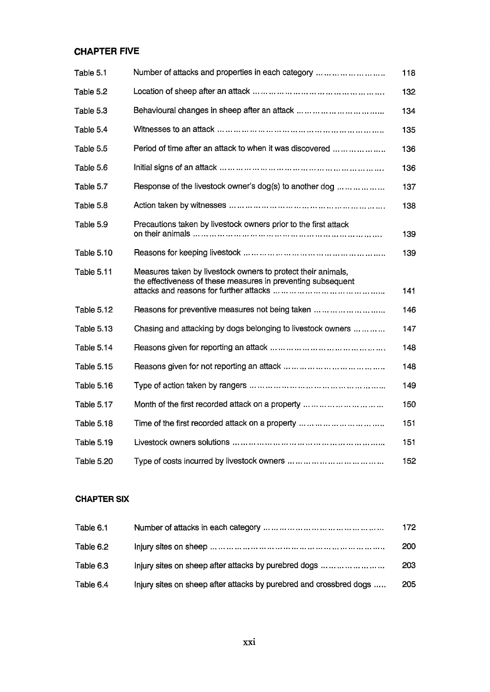### **CHAPTER FIVE**

| Table 5.1         | Number of attacks and properties in each category                                                                            | 118 |
|-------------------|------------------------------------------------------------------------------------------------------------------------------|-----|
| Table 5.2         |                                                                                                                              | 132 |
| Table 5.3         |                                                                                                                              | 134 |
| Table 5.4         |                                                                                                                              | 135 |
| Table 5.5         | Period of time after an attack to when it was discovered                                                                     | 136 |
| Table 5.6         |                                                                                                                              | 136 |
| Table 5.7         | Response of the livestock owner's dog(s) to another dog                                                                      | 137 |
| Table 5.8         |                                                                                                                              | 138 |
| Table 5.9         | Precautions taken by livestock owners prior to the first attack                                                              | 139 |
| <b>Table 5.10</b> |                                                                                                                              | 139 |
| <b>Table 5.11</b> | Measures taken by livestock owners to protect their animals,<br>the effectiveness of these measures in preventing subsequent | 141 |
| <b>Table 5.12</b> | Reasons for preventive measures not being taken                                                                              | 146 |
| <b>Table 5.13</b> | Chasing and attacking by dogs belonging to livestock owners                                                                  | 147 |
| Table 5.14        |                                                                                                                              | 148 |
| <b>Table 5.15</b> |                                                                                                                              | 148 |
| <b>Table 5.16</b> |                                                                                                                              | 149 |
| Table 5.17        | Month of the first recorded attack on a property                                                                             | 150 |
| <b>Table 5.18</b> |                                                                                                                              | 151 |
| Table 5.19        |                                                                                                                              | 151 |
| <b>Table 5.20</b> |                                                                                                                              | 152 |

#### CHAPTER SIX

| Table 6.1 |                                                                    | 172        |
|-----------|--------------------------------------------------------------------|------------|
| Table 6.2 |                                                                    | <b>200</b> |
| Table 6.3 | Injury sites on sheep after attacks by purebred dogs               | 203        |
| Table 6.4 | Injury sites on sheep after attacks by purebred and crossbred dogs | 205        |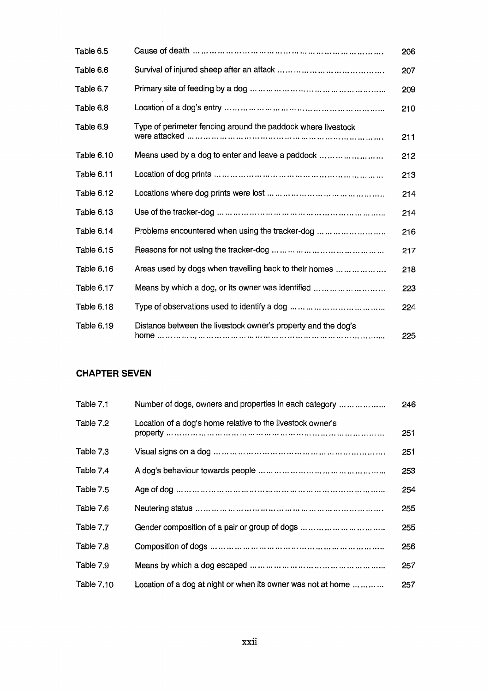| Table 6.5         |                                                               | 206 |
|-------------------|---------------------------------------------------------------|-----|
| Table 6.6         |                                                               | 207 |
| Table 6.7         |                                                               | 209 |
| Table 6.8         |                                                               | 210 |
| Table 6.9         | Type of perimeter fencing around the paddock where livestock  | 211 |
| Table 6.10        | Means used by a dog to enter and leave a paddock              | 212 |
| Table 6.11        |                                                               | 213 |
| Table 6.12        |                                                               | 214 |
| Table 6.13        |                                                               | 214 |
| Table 6.14        | Problems encountered when using the tracker-dog               | 216 |
| Table 6.15        |                                                               | 217 |
| <b>Table 6.16</b> | Areas used by dogs when travelling back to their homes        | 218 |
| Table 6.17        | Means by which a dog, or its owner was identified             | 223 |
| Table 6.18        |                                                               | 224 |
| Table 6.19        | Distance between the livestock owner's property and the dog's | 225 |

### **CHAPTER SEVEN**

| Table 7.1  | Number of dogs, owners and properties in each category       | 246 |
|------------|--------------------------------------------------------------|-----|
| Table 7.2  | Location of a dog's home relative to the livestock owner's   | 251 |
| Table 7.3  |                                                              | 251 |
| Table 7.4  |                                                              | 253 |
| Table 7.5  |                                                              | 254 |
| Table 7.6  |                                                              | 255 |
| Table 7.7  |                                                              | 255 |
| Table 7.8  |                                                              | 256 |
| Table 7.9  |                                                              | 257 |
| Table 7.10 | Location of a dog at night or when its owner was not at home | 257 |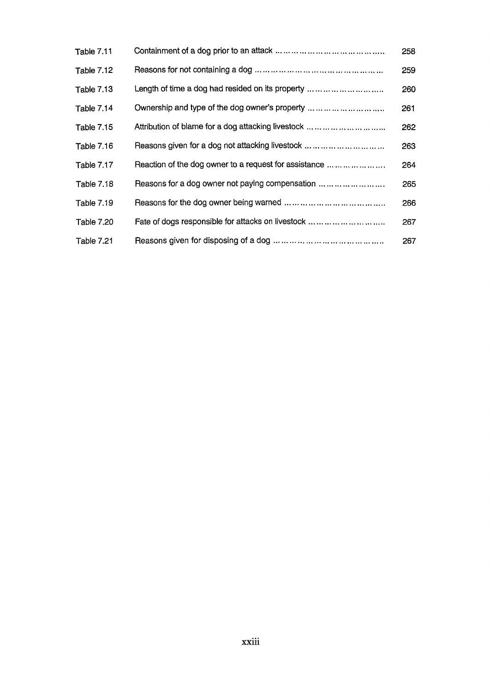| Table 7.11        |                                                       | 258 |
|-------------------|-------------------------------------------------------|-----|
| <b>Table 7.12</b> |                                                       | 259 |
| Table 7.13        | Length of time a dog had resided on its property      | 260 |
| Table 7.14        | Ownership and type of the dog owner's property        | 261 |
| <b>Table 7.15</b> | Attribution of blame for a dog attacking livestock    | 262 |
| Table 7.16        | Reasons given for a dog not attacking livestock       | 263 |
| Table 7.17        | Reaction of the dog owner to a request for assistance | 264 |
| <b>Table 7.18</b> | Reasons for a dog owner not paying compensation       | 265 |
| Table 7.19        |                                                       | 266 |
| <b>Table 7.20</b> | Fate of dogs responsible for attacks on livestock     | 267 |
| Table 7.21        |                                                       | 267 |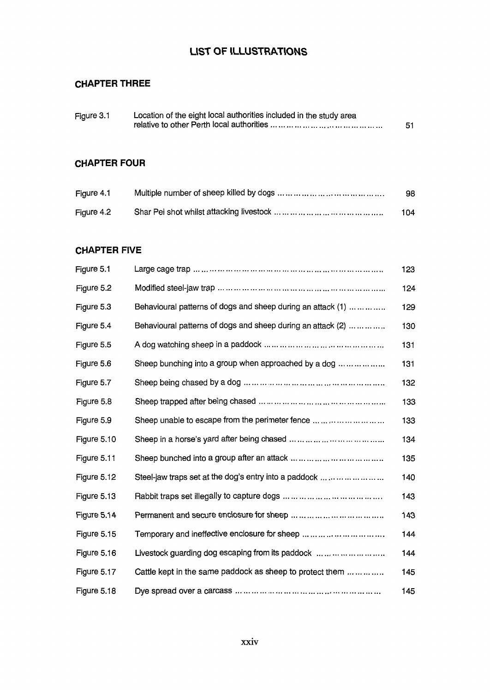## **UST OF ILLUSTRATIONS**

## **CHAPTER THREE**

| Figure 3.1 | Location of the eight local authorities included in the study area |    |
|------------|--------------------------------------------------------------------|----|
|            |                                                                    | 51 |

### **CHAPTER FOUR**

| Figure 4.1 | 98  |
|------------|-----|
| Figure 4.2 | 104 |

#### **CHAPTER FIVE**

| Figure 5.1  |                                                             | 123 |
|-------------|-------------------------------------------------------------|-----|
| Figure 5.2  |                                                             | 124 |
| Figure 5.3  | Behavioural patterns of dogs and sheep during an attack (1) | 129 |
| Figure 5.4  | Behavioural patterns of dogs and sheep during an attack (2) | 130 |
| Figure 5.5  |                                                             | 131 |
| Figure 5.6  | Sheep bunching into a group when approached by a dog        | 131 |
| Figure 5.7  |                                                             | 132 |
| Figure 5.8  |                                                             | 133 |
| Figure 5.9  | Sheep unable to escape from the perimeter fence             | 133 |
| Figure 5.10 |                                                             | 134 |
| Figure 5.11 |                                                             | 135 |
| Figure 5.12 | Steel-jaw traps set at the dog's entry into a paddock       | 140 |
| Figure 5.13 |                                                             | 143 |
| Figure 5.14 |                                                             | 143 |
| Figure 5.15 | Temporary and ineffective enclosure for sheep               | 144 |
| Figure 5.16 | Livestock quarding dog escaping from its paddock            | 144 |
| Figure 5.17 | Cattle kept in the same paddock as sheep to protect them    | 145 |
| Figure 5.18 |                                                             | 145 |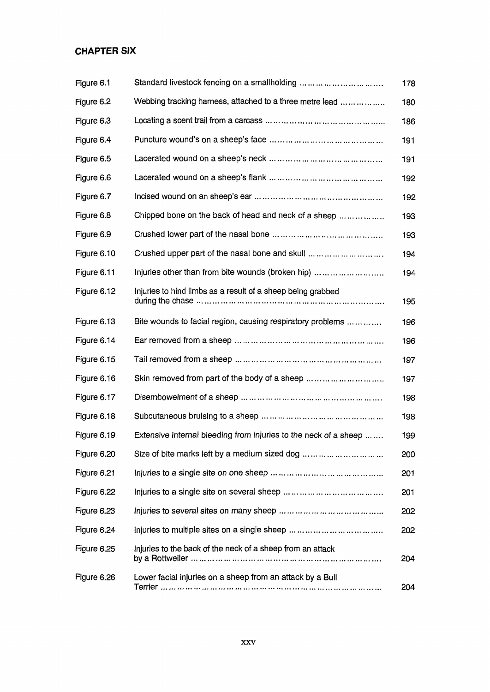## **CHAPTER SIX**

| Figure 6.1  | Standard livestock fencing on a smallholding                     | 178 |
|-------------|------------------------------------------------------------------|-----|
| Figure 6.2  | Webbing tracking harness, attached to a three metre lead         | 180 |
| Figure 6.3  |                                                                  | 186 |
| Figure 6.4  |                                                                  | 191 |
| Figure 6.5  |                                                                  | 191 |
| Figure 6.6  |                                                                  | 192 |
| Figure 6.7  |                                                                  | 192 |
| Figure 6.8  | Chipped bone on the back of head and neck of a sheep             | 193 |
| Figure 6.9  |                                                                  | 193 |
| Figure 6.10 | Crushed upper part of the nasal bone and skull                   | 194 |
| Figure 6.11 | Injuries other than from bite wounds (broken hip)                | 194 |
| Figure 6.12 | Injuries to hind limbs as a result of a sheep being grabbed      | 195 |
| Figure 6.13 | Bite wounds to facial region, causing respiratory problems       | 196 |
| Figure 6.14 |                                                                  | 196 |
| Figure 6.15 |                                                                  | 197 |
| Figure 6.16 | Skin removed from part of the body of a sheep                    | 197 |
| Figure 6.17 |                                                                  | 198 |
| Figure 6.18 |                                                                  | 198 |
| Figure 6.19 | Extensive internal bleeding from injuries to the neck of a sheep | 199 |
| Figure 6.20 | Size of bite marks left by a medium sized dog                    | 200 |
| Figure 6.21 |                                                                  | 201 |
| Figure 6.22 |                                                                  | 201 |
| Figure 6.23 |                                                                  | 202 |
| Figure 6.24 |                                                                  | 202 |
| Figure 6.25 | Injuries to the back of the neck of a sheep from an attack       | 204 |
| Figure 6.26 | Lower facial injuries on a sheep from an attack by a Bull        | 204 |